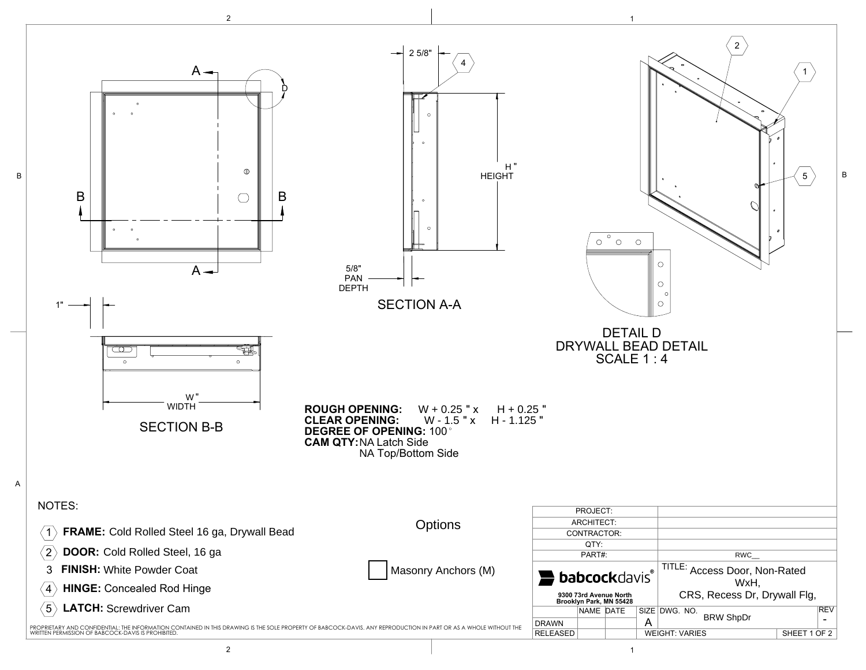